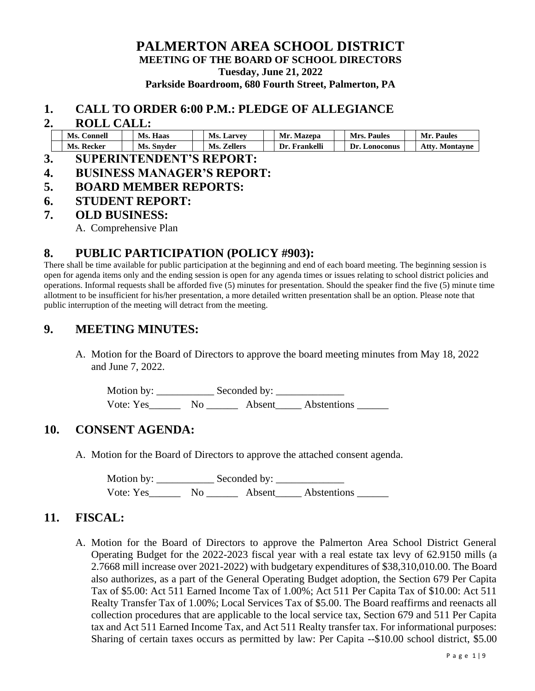### **PALMERTON AREA SCHOOL DISTRICT MEETING OF THE BOARD OF SCHOOL DIRECTORS Tuesday, June 21, 2022 Parkside Boardroom, 680 Fourth Street, Palmerton, PA**

#### **1. CALL TO ORDER 6:00 P.M.: PLEDGE OF ALLEGIANCE**

#### **2. ROLL CALL:**

| Ms.<br>Connell | Ms.<br>Haas          | Ms.<br>. Larvey | Mr<br>Mazepa    | <b>Paules</b><br>Mrs.   | Paules<br>Mr.                          |
|----------------|----------------------|-----------------|-----------------|-------------------------|----------------------------------------|
| Ms.<br>Recker  | Mc<br>Snyder<br>w.s. | Ms.<br>Zellers  | Frankelli<br>)r | Dr.<br><b>_onoconus</b> | $^{\circ}$ ff $\mathbf{v}$<br>Montavne |

- **3. SUPERINTENDENT'S REPORT:**
- **4. BUSINESS MANAGER'S REPORT:**
- **5. BOARD MEMBER REPORTS:**
- **6. STUDENT REPORT:**
- **7. OLD BUSINESS:**

A. Comprehensive Plan

### **8. PUBLIC PARTICIPATION (POLICY #903):**

There shall be time available for public participation at the beginning and end of each board meeting. The beginning session is open for agenda items only and the ending session is open for any agenda times or issues relating to school district policies and operations. Informal requests shall be afforded five (5) minutes for presentation. Should the speaker find the five (5) minute time allotment to be insufficient for his/her presentation, a more detailed written presentation shall be an option. Please note that public interruption of the meeting will detract from the meeting.

### **9. MEETING MINUTES:**

A. Motion for the Board of Directors to approve the board meeting minutes from May 18, 2022 and June 7, 2022.

Motion by: \_\_\_\_\_\_\_\_\_\_\_ Seconded by: \_\_\_\_\_\_\_\_\_\_\_\_\_ Vote: Yes Mo Absent Abstentions

### **10. CONSENT AGENDA:**

A. Motion for the Board of Directors to approve the attached consent agenda.

Motion by: \_\_\_\_\_\_\_\_\_\_\_ Seconded by: \_\_\_\_\_\_\_\_\_\_\_\_\_ Vote: Yes\_\_\_\_\_\_\_\_ No \_\_\_\_\_\_\_\_ Absent\_\_\_\_\_ Abstentions \_\_\_\_\_\_\_

### **11. FISCAL:**

A. Motion for the Board of Directors to approve the Palmerton Area School District General Operating Budget for the 2022-2023 fiscal year with a real estate tax levy of 62.9150 mills (a 2.7668 mill increase over 2021-2022) with budgetary expenditures of \$38,310,010.00. The Board also authorizes, as a part of the General Operating Budget adoption, the Section 679 Per Capita Tax of \$5.00: Act 511 Earned Income Tax of 1.00%; Act 511 Per Capita Tax of \$10.00: Act 511 Realty Transfer Tax of 1.00%; Local Services Tax of \$5.00. The Board reaffirms and reenacts all collection procedures that are applicable to the local service tax, Section 679 and 511 Per Capita tax and Act 511 Earned Income Tax, and Act 511 Realty transfer tax. For informational purposes: Sharing of certain taxes occurs as permitted by law: Per Capita --\$10.00 school district, \$5.00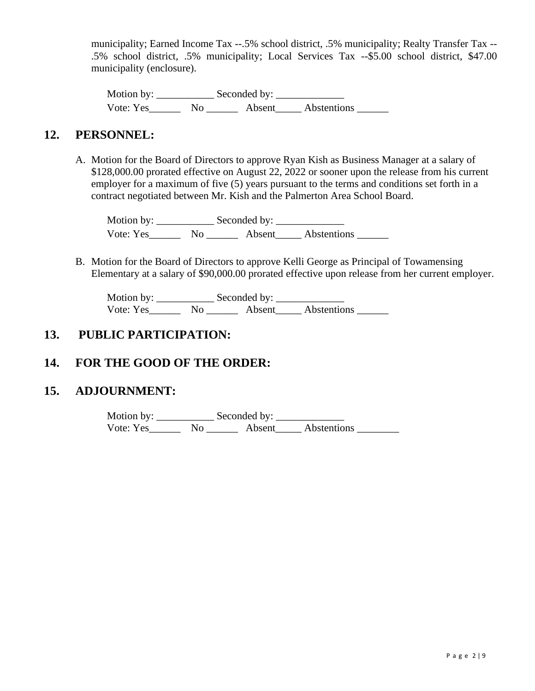municipality; Earned Income Tax --.5% school district, .5% municipality; Realty Transfer Tax -- .5% school district, .5% municipality; Local Services Tax --\$5.00 school district, \$47.00 municipality (enclosure).

Motion by: \_\_\_\_\_\_\_\_\_\_\_ Seconded by: \_\_\_\_\_\_\_\_\_\_\_\_\_ Vote: Yes\_\_\_\_\_\_\_\_ No \_\_\_\_\_\_\_\_ Absent\_\_\_\_\_\_ Abstentions \_\_\_\_\_\_\_

### **12. PERSONNEL:**

A. Motion for the Board of Directors to approve Ryan Kish as Business Manager at a salary of \$128,000.00 prorated effective on August 22, 2022 or sooner upon the release from his current employer for a maximum of five (5) years pursuant to the terms and conditions set forth in a contract negotiated between Mr. Kish and the Palmerton Area School Board.

Motion by: \_\_\_\_\_\_\_\_\_\_\_ Seconded by: \_\_\_\_\_\_\_\_\_\_\_\_\_ Vote: Yes\_\_\_\_\_\_\_\_ No \_\_\_\_\_\_\_\_ Absent\_\_\_\_\_\_ Abstentions \_\_\_\_\_\_\_

B. Motion for the Board of Directors to approve Kelli George as Principal of Towamensing Elementary at a salary of \$90,000.00 prorated effective upon release from her current employer.

Motion by: \_\_\_\_\_\_\_\_\_\_\_ Seconded by: \_\_\_\_\_\_\_\_\_\_\_\_\_ Vote: Yes\_\_\_\_\_\_\_\_ No \_\_\_\_\_\_\_\_ Absent\_\_\_\_\_\_ Abstentions \_\_\_\_\_\_\_

## **13. PUBLIC PARTICIPATION:**

## **14. FOR THE GOOD OF THE ORDER:**

### **15. ADJOURNMENT:**

Motion by: \_\_\_\_\_\_\_\_\_\_\_ Seconded by: \_\_\_\_\_\_\_\_\_\_\_\_\_ Vote: Yes\_\_\_\_\_\_\_\_ No \_\_\_\_\_\_\_ Absent\_\_\_\_\_ Abstentions \_\_\_\_\_\_\_\_\_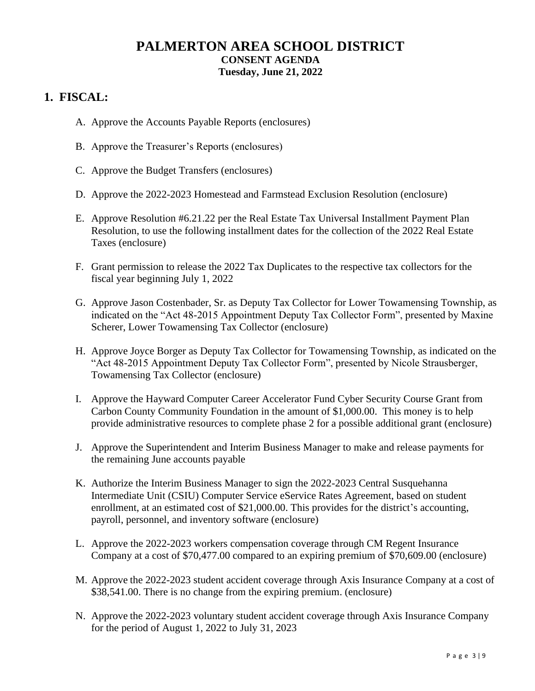## **PALMERTON AREA SCHOOL DISTRICT CONSENT AGENDA Tuesday, June 21, 2022**

## **1. FISCAL:**

- A. Approve the Accounts Payable Reports (enclosures)
- B. Approve the Treasurer's Reports (enclosures)
- C. Approve the Budget Transfers (enclosures)
- D. Approve the 2022-2023 Homestead and Farmstead Exclusion Resolution (enclosure)
- E. Approve Resolution #6.21.22 per the Real Estate Tax Universal Installment Payment Plan Resolution, to use the following installment dates for the collection of the 2022 Real Estate Taxes (enclosure)
- F. Grant permission to release the 2022 Tax Duplicates to the respective tax collectors for the fiscal year beginning July 1, 2022
- G. Approve Jason Costenbader, Sr. as Deputy Tax Collector for Lower Towamensing Township, as indicated on the "Act 48-2015 Appointment Deputy Tax Collector Form", presented by Maxine Scherer, Lower Towamensing Tax Collector (enclosure)
- H. Approve Joyce Borger as Deputy Tax Collector for Towamensing Township, as indicated on the "Act 48-2015 Appointment Deputy Tax Collector Form", presented by Nicole Strausberger, Towamensing Tax Collector (enclosure)
- I. Approve the Hayward Computer Career Accelerator Fund Cyber Security Course Grant from Carbon County Community Foundation in the amount of \$1,000.00. This money is to help provide administrative resources to complete phase 2 for a possible additional grant (enclosure)
- J. Approve the Superintendent and Interim Business Manager to make and release payments for the remaining June accounts payable
- K. Authorize the Interim Business Manager to sign the 2022-2023 Central Susquehanna Intermediate Unit (CSIU) Computer Service eService Rates Agreement, based on student enrollment, at an estimated cost of \$21,000.00. This provides for the district's accounting, payroll, personnel, and inventory software (enclosure)
- L. Approve the 2022-2023 workers compensation coverage through CM Regent Insurance Company at a cost of \$70,477.00 compared to an expiring premium of \$70,609.00 (enclosure)
- M. Approve the 2022-2023 student accident coverage through Axis Insurance Company at a cost of \$38,541.00. There is no change from the expiring premium. (enclosure)
- N. Approve the 2022-2023 voluntary student accident coverage through Axis Insurance Company for the period of August 1, 2022 to July 31, 2023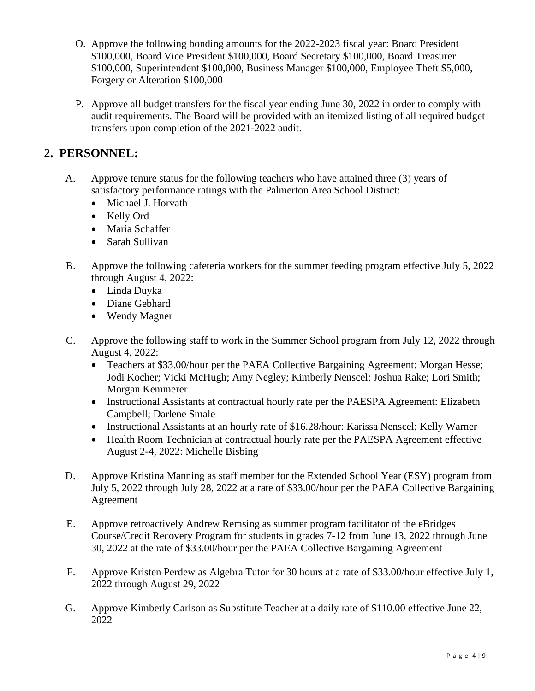- O. Approve the following bonding amounts for the 2022-2023 fiscal year: Board President \$100,000, Board Vice President \$100,000, Board Secretary \$100,000, Board Treasurer \$100,000, Superintendent \$100,000, Business Manager \$100,000, Employee Theft \$5,000, Forgery or Alteration \$100,000
- P. Approve all budget transfers for the fiscal year ending June 30, 2022 in order to comply with audit requirements. The Board will be provided with an itemized listing of all required budget transfers upon completion of the 2021-2022 audit.

## **2. PERSONNEL:**

- A. Approve tenure status for the following teachers who have attained three (3) years of satisfactory performance ratings with the Palmerton Area School District:
	- Michael J. Horvath
	- Kelly Ord
	- Maria Schaffer
	- Sarah Sullivan
- B. Approve the following cafeteria workers for the summer feeding program effective July 5, 2022 through August 4, 2022:
	- Linda Duyka
	- Diane Gebhard
	- Wendy Magner
- C. Approve the following staff to work in the Summer School program from July 12, 2022 through August 4, 2022:
	- Teachers at \$33.00/hour per the PAEA Collective Bargaining Agreement: Morgan Hesse; Jodi Kocher; Vicki McHugh; Amy Negley; Kimberly Nenscel; Joshua Rake; Lori Smith; Morgan Kemmerer
	- Instructional Assistants at contractual hourly rate per the PAESPA Agreement: Elizabeth Campbell; Darlene Smale
	- Instructional Assistants at an hourly rate of \$16.28/hour: Karissa Nenscel; Kelly Warner
	- Health Room Technician at contractual hourly rate per the PAESPA Agreement effective August 2-4, 2022: Michelle Bisbing
- D. Approve Kristina Manning as staff member for the Extended School Year (ESY) program from July 5, 2022 through July 28, 2022 at a rate of \$33.00/hour per the PAEA Collective Bargaining Agreement
- E. Approve retroactively Andrew Remsing as summer program facilitator of the eBridges Course/Credit Recovery Program for students in grades 7-12 from June 13, 2022 through June 30, 2022 at the rate of \$33.00/hour per the PAEA Collective Bargaining Agreement
- F. Approve Kristen Perdew as Algebra Tutor for 30 hours at a rate of \$33.00/hour effective July 1, 2022 through August 29, 2022
- G. Approve Kimberly Carlson as Substitute Teacher at a daily rate of \$110.00 effective June 22, 2022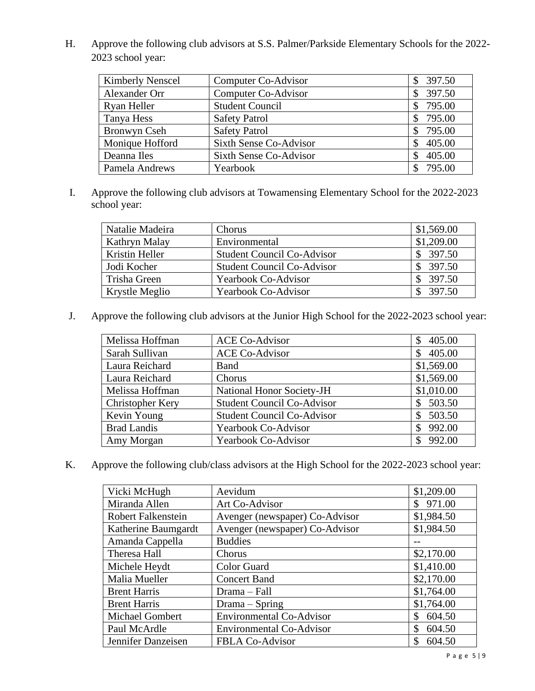H. Approve the following club advisors at S.S. Palmer/Parkside Elementary Schools for the 2022- 2023 school year:

| <b>Kimberly Nenscel</b> | Computer Co-Advisor           | \$397.50 |
|-------------------------|-------------------------------|----------|
| Alexander Orr           | Computer Co-Advisor           | 397.50   |
| Ryan Heller             | <b>Student Council</b>        | \$795.00 |
| Tanya Hess              | <b>Safety Patrol</b>          | 795.00   |
| Bronwyn Cseh            | <b>Safety Patrol</b>          | 795.00   |
| Monique Hofford         | <b>Sixth Sense Co-Advisor</b> | 405.00   |
| Deanna Iles             | Sixth Sense Co-Advisor        | 405.00   |
| Pamela Andrews          | Yearbook                      | 795.00   |

I. Approve the following club advisors at Towamensing Elementary School for the 2022-2023 school year:

| Natalie Madeira | Chorus                            | \$1,569.00 |
|-----------------|-----------------------------------|------------|
| Kathryn Malay   | Environmental                     | \$1,209.00 |
| Kristin Heller  | <b>Student Council Co-Advisor</b> | \$397.50   |
| Jodi Kocher     | <b>Student Council Co-Advisor</b> | \$397.50   |
| Trisha Green    | <b>Yearbook Co-Advisor</b>        | \$397.50   |
| Krystle Meglio  | <b>Yearbook Co-Advisor</b>        | 397.50     |

J. Approve the following club advisors at the Junior High School for the 2022-2023 school year:

| Melissa Hoffman         | <b>ACE Co-Advisor</b>             | 405.00<br>S  |
|-------------------------|-----------------------------------|--------------|
| Sarah Sullivan          | <b>ACE Co-Advisor</b>             | 405.00       |
| Laura Reichard          | <b>Band</b>                       | \$1,569.00   |
| Laura Reichard          | Chorus                            | \$1,569.00   |
| Melissa Hoffman         | National Honor Society-JH         | \$1,010.00   |
| <b>Christopher Kery</b> | <b>Student Council Co-Advisor</b> | 503.50<br>\$ |
| Kevin Young             | <b>Student Council Co-Advisor</b> | 503.50       |
| <b>Brad Landis</b>      | <b>Yearbook Co-Advisor</b>        | 992.00       |
| Amy Morgan              | Yearbook Co-Advisor               | 992.00       |

K. Approve the following club/class advisors at the High School for the 2022-2023 school year:

| Vicki McHugh              | Aevidum                         | \$1,209.00   |
|---------------------------|---------------------------------|--------------|
| Miranda Allen             | Art Co-Advisor                  | \$971.00     |
| <b>Robert Falkenstein</b> | Avenger (newspaper) Co-Advisor  | \$1,984.50   |
| Katherine Baumgardt       | Avenger (newspaper) Co-Advisor  | \$1,984.50   |
| Amanda Cappella           | <b>Buddies</b>                  |              |
| Theresa Hall              | Chorus                          | \$2,170.00   |
| Michele Heydt             | <b>Color Guard</b>              | \$1,410.00   |
| Malia Mueller             | <b>Concert Band</b>             | \$2,170.00   |
| <b>Brent Harris</b>       | Drama - Fall                    | \$1,764.00   |
| <b>Brent Harris</b>       | Drama – Spring                  | \$1,764.00   |
| <b>Michael Gombert</b>    | <b>Environmental Co-Advisor</b> | 604.50<br>\$ |
| Paul McArdle              | <b>Environmental Co-Advisor</b> | \$<br>604.50 |
| Jennifer Danzeisen        | <b>FBLA Co-Advisor</b>          | \$<br>604.50 |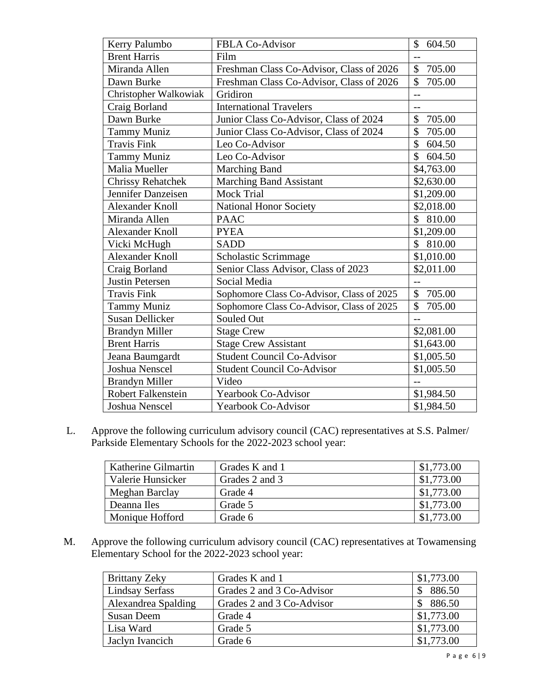| Kerry Palumbo            | <b>FBLA Co-Advisor</b>                    | $\mathcal{S}$<br>604.50 |
|--------------------------|-------------------------------------------|-------------------------|
| <b>Brent Harris</b>      | Film                                      | $-$                     |
| Miranda Allen            | Freshman Class Co-Advisor, Class of 2026  | \$<br>705.00            |
| Dawn Burke               | Freshman Class Co-Advisor, Class of 2026  | \$<br>705.00            |
| Christopher Walkowiak    | Gridiron                                  | $\overline{a}$          |
| Craig Borland            | <b>International Travelers</b>            | $-$                     |
| Dawn Burke               | Junior Class Co-Advisor, Class of 2024    | \$<br>705.00            |
| <b>Tammy Muniz</b>       | Junior Class Co-Advisor, Class of 2024    | \$<br>705.00            |
| <b>Travis Fink</b>       | Leo Co-Advisor                            | \$604.50                |
| <b>Tammy Muniz</b>       | Leo Co-Advisor                            | $\mathcal{S}$<br>604.50 |
| Malia Mueller            | <b>Marching Band</b>                      | \$4,763.00              |
| <b>Chrissy Rehatchek</b> | <b>Marching Band Assistant</b>            | \$2,630.00              |
| Jennifer Danzeisen       | <b>Mock Trial</b>                         | \$1,209.00              |
| <b>Alexander Knoll</b>   | <b>National Honor Society</b>             | \$2,018.00              |
| Miranda Allen            | <b>PAAC</b>                               | \$<br>810.00            |
| <b>Alexander Knoll</b>   | <b>PYEA</b>                               | \$1,209.00              |
| Vicki McHugh             | <b>SADD</b>                               | \$ 810.00               |
| <b>Alexander Knoll</b>   | Scholastic Scrimmage                      | \$1,010.00              |
| Craig Borland            | Senior Class Advisor, Class of 2023       | \$2,011.00              |
| <b>Justin Petersen</b>   | Social Media                              | $-$                     |
| <b>Travis Fink</b>       | Sophomore Class Co-Advisor, Class of 2025 | \$<br>705.00            |
| <b>Tammy Muniz</b>       | Sophomore Class Co-Advisor, Class of 2025 | \$<br>705.00            |
| <b>Susan Dellicker</b>   | Souled Out                                | $\overline{a}$          |
| <b>Brandyn Miller</b>    | <b>Stage Crew</b>                         | \$2,081.00              |
| <b>Brent Harris</b>      | <b>Stage Crew Assistant</b>               | \$1,643.00              |
| Jeana Baumgardt          | <b>Student Council Co-Advisor</b>         | \$1,005.50              |
| <b>Joshua Nenscel</b>    | <b>Student Council Co-Advisor</b>         | \$1,005.50              |
| <b>Brandyn Miller</b>    | Video                                     | $-$                     |
| Robert Falkenstein       | Yearbook Co-Advisor                       | \$1,984.50              |
| <b>Joshua Nenscel</b>    | <b>Yearbook Co-Advisor</b>                | \$1,984.50              |

L. Approve the following curriculum advisory council (CAC) representatives at S.S. Palmer/ Parkside Elementary Schools for the 2022-2023 school year:

| Katherine Gilmartin | Grades K and 1 | \$1,773.00 |
|---------------------|----------------|------------|
| Valerie Hunsicker   | Grades 2 and 3 | \$1,773.00 |
| Meghan Barclay      | Grade 4        | \$1,773.00 |
| Deanna Iles         | Grade 5        | \$1,773.00 |
| Monique Hofford     | Grade 6        | \$1,773.00 |

M. Approve the following curriculum advisory council (CAC) representatives at Towamensing Elementary School for the 2022-2023 school year:

| <b>Brittany Zeky</b>   | Grades K and 1            | \$1,773.00 |
|------------------------|---------------------------|------------|
| <b>Lindsay Serfass</b> | Grades 2 and 3 Co-Advisor | 886.50     |
| Alexandrea Spalding    | Grades 2 and 3 Co-Advisor | 886.50     |
| <b>Susan Deem</b>      | Grade 4                   | \$1,773.00 |
| Lisa Ward              | Grade 5                   | \$1,773.00 |
| Jaclyn Ivancich        | Grade 6                   | \$1,773.00 |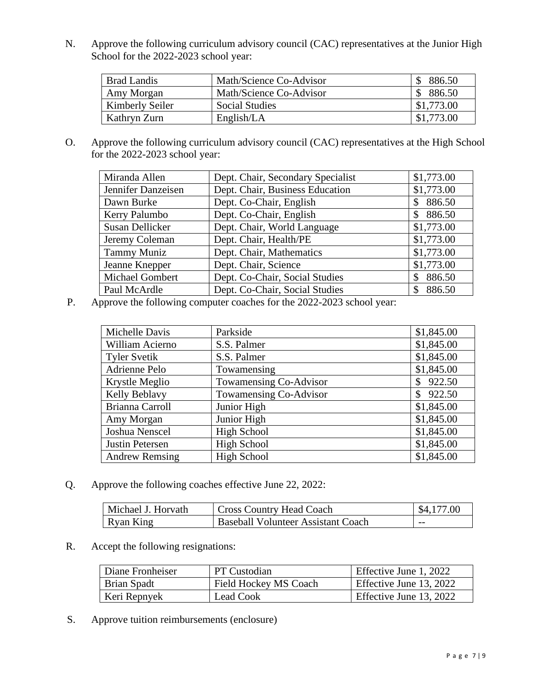N. Approve the following curriculum advisory council (CAC) representatives at the Junior High School for the 2022-2023 school year:

| <b>Brad Landis</b> | Math/Science Co-Advisor | 886.50     |
|--------------------|-------------------------|------------|
| Amy Morgan         | Math/Science Co-Advisor | 886.50     |
| Kimberly Seiler    | <b>Social Studies</b>   | \$1,773.00 |
| Kathryn Zurn       | English/LA              | \$1,773.00 |

O. Approve the following curriculum advisory council (CAC) representatives at the High School for the 2022-2023 school year:

| Miranda Allen          | Dept. Chair, Secondary Specialist | \$1,773.00   |
|------------------------|-----------------------------------|--------------|
| Jennifer Danzeisen     | Dept. Chair, Business Education   | \$1,773.00   |
| Dawn Burke             | Dept. Co-Chair, English           | 886.50<br>\$ |
| Kerry Palumbo          | Dept. Co-Chair, English           | 886.50<br>\$ |
| <b>Susan Dellicker</b> | Dept. Chair, World Language       | \$1,773.00   |
| Jeremy Coleman         | Dept. Chair, Health/PE            | \$1,773.00   |
| <b>Tammy Muniz</b>     | Dept. Chair, Mathematics          | \$1,773.00   |
| Jeanne Knepper         | Dept. Chair, Science              | \$1,773.00   |
| Michael Gombert        | Dept. Co-Chair, Social Studies    | 886.50       |
| Paul McArdle           | Dept. Co-Chair, Social Studies    | 886.50       |

P. Approve the following computer coaches for the 2022-2023 school year:

| Michelle Davis        | Parkside               | \$1,845.00 |
|-----------------------|------------------------|------------|
| William Acierno       | S.S. Palmer            | \$1,845.00 |
| <b>Tyler Svetik</b>   | S.S. Palmer            | \$1,845.00 |
| Adrienne Pelo         | Towamensing            | \$1,845.00 |
| Krystle Meglio        | Towamensing Co-Advisor | 922.50     |
| Kelly Beblavy         | Towamensing Co-Advisor | 922.50     |
| Brianna Carroll       | Junior High            | \$1,845.00 |
| Amy Morgan            | Junior High            | \$1,845.00 |
| Joshua Nenscel        | <b>High School</b>     | \$1,845.00 |
| Justin Petersen       | <b>High School</b>     | \$1,845.00 |
| <b>Andrew Remsing</b> | <b>High School</b>     | \$1,845.00 |

Q. Approve the following coaches effective June 22, 2022:

| Michael J. Horvath | <b>Cross Country Head Coach</b>    | \$4,177.00 |
|--------------------|------------------------------------|------------|
| Ryan King          | Baseball Volunteer Assistant Coach | $- -$      |

R. Accept the following resignations:

| Diane Fronheiser | <b>PT</b> Custodian          | Effective June 1, 2022  |
|------------------|------------------------------|-------------------------|
| Brian Spadt      | <b>Field Hockey MS Coach</b> | Effective June 13, 2022 |
| Keri Repnyek     | Lead Cook                    | Effective June 13, 2022 |

S. Approve tuition reimbursements (enclosure)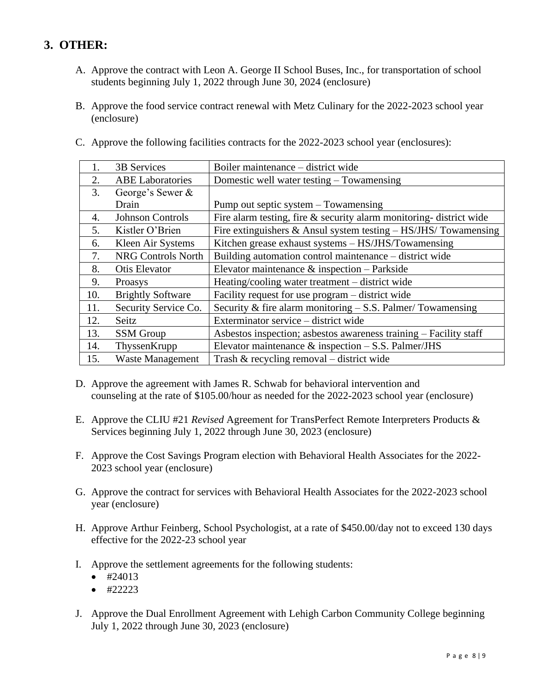# **3. OTHER:**

- A. Approve the contract with Leon A. George II School Buses, Inc., for transportation of school students beginning July 1, 2022 through June 30, 2024 (enclosure)
- B. Approve the food service contract renewal with Metz Culinary for the 2022-2023 school year (enclosure)

| C. Approve the following facilities contracts for the 2022-2023 school year (enclosures): |  |  |
|-------------------------------------------------------------------------------------------|--|--|
|                                                                                           |  |  |

| 1.  | 3B Services               | Boiler maintenance - district wide                                   |
|-----|---------------------------|----------------------------------------------------------------------|
| 2.  | <b>ABE</b> Laboratories   | Domestic well water testing – Towamensing                            |
| 3.  | George's Sewer &          |                                                                      |
|     | Drain                     | Pump out septic system – Towamensing                                 |
| 4.  | <b>Johnson Controls</b>   | Fire alarm testing, fire & security alarm monitoring-district wide   |
| 5.  | Kistler O'Brien           | Fire extinguishers $\&$ Ansul system testing $-$ HS/JHS/ Towamensing |
| 6.  | Kleen Air Systems         | Kitchen grease exhaust systems - HS/JHS/Towamensing                  |
| 7.  | <b>NRG Controls North</b> | Building automation control maintenance – district wide              |
| 8.  | <b>Otis Elevator</b>      | Elevator maintenance $\&$ inspection – Parkside                      |
| 9.  | Proasys                   | Heating/cooling water treatment – district wide                      |
| 10. | <b>Brightly Software</b>  | Facility request for use program - district wide                     |
| 11. | Security Service Co.      | Security & fire alarm monitoring $-$ S.S. Palmer/Towamensing         |
| 12. | Seitz                     | Exterminator service – district wide                                 |
| 13. | <b>SSM</b> Group          | Asbestos inspection; asbestos awareness training - Facility staff    |
| 14. | ThyssenKrupp              | Elevator maintenance $\&$ inspection $-$ S.S. Palmer/JHS             |
| 15. | <b>Waste Management</b>   | Trash $\&$ recycling removal – district wide                         |

- D. Approve the agreement with James R. Schwab for behavioral intervention and counseling at the rate of \$105.00/hour as needed for the 2022-2023 school year (enclosure)
- E. Approve the CLIU #21 *Revised* Agreement for TransPerfect Remote Interpreters Products & Services beginning July 1, 2022 through June 30, 2023 (enclosure)
- F. Approve the Cost Savings Program election with Behavioral Health Associates for the 2022- 2023 school year (enclosure)
- G. Approve the contract for services with Behavioral Health Associates for the 2022-2023 school year (enclosure)
- H. Approve Arthur Feinberg, School Psychologist, at a rate of \$450.00/day not to exceed 130 days effective for the 2022-23 school year
- I. Approve the settlement agreements for the following students:
	- $•$  #24013
	- #22223
- J. Approve the Dual Enrollment Agreement with Lehigh Carbon Community College beginning July 1, 2022 through June 30, 2023 (enclosure)